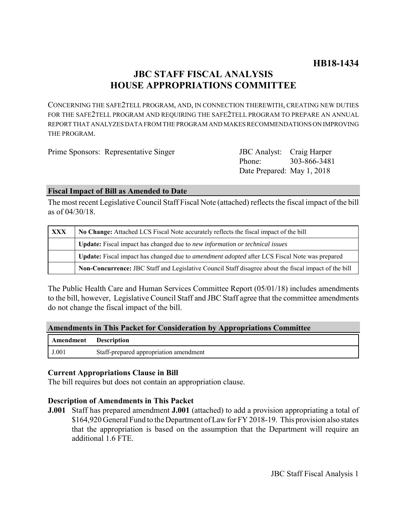# **JBC STAFF FISCAL ANALYSIS HOUSE APPROPRIATIONS COMMITTEE**

CONCERNING THE SAFE2TELL PROGRAM, AND, IN CONNECTION THEREWITH, CREATING NEW DUTIES FOR THE SAFE2TELL PROGRAM AND REQUIRING THE SAFE2TELL PROGRAM TO PREPARE AN ANNUAL REPORT THAT ANALYZES DATA FROM THE PROGRAM AND MAKES RECOMMENDATIONS ON IMPROVING THE PROGRAM.

| Prime Sponsors: Representative Singer | JBC Analyst: Craig Harper |  |
|---------------------------------------|---------------------------|--|
|                                       |                           |  |

Phone: Date Prepared: May 1, 2018 303-866-3481

# **Fiscal Impact of Bill as Amended to Date**

The most recent Legislative Council Staff Fiscal Note (attached) reflects the fiscal impact of the bill as of 04/30/18.

| XXX | No Change: Attached LCS Fiscal Note accurately reflects the fiscal impact of the bill                       |  |
|-----|-------------------------------------------------------------------------------------------------------------|--|
|     | Update: Fiscal impact has changed due to new information or technical issues                                |  |
|     | <b>Update:</b> Fiscal impact has changed due to <i>amendment adopted</i> after LCS Fiscal Note was prepared |  |
|     | Non-Concurrence: JBC Staff and Legislative Council Staff disagree about the fiscal impact of the bill       |  |

The Public Health Care and Human Services Committee Report (05/01/18) includes amendments to the bill, however, Legislative Council Staff and JBC Staff agree that the committee amendments do not change the fiscal impact of the bill.

# **Amendments in This Packet for Consideration by Appropriations Committee**

| <b>Amendment</b> Description |                                        |
|------------------------------|----------------------------------------|
| J.001                        | Staff-prepared appropriation amendment |

# **Current Appropriations Clause in Bill**

The bill requires but does not contain an appropriation clause.

# **Description of Amendments in This Packet**

**J.001** Staff has prepared amendment **J.001** (attached) to add a provision appropriating a total of \$164,920 General Fund to the Department of Law for FY 2018-19. This provision also states that the appropriation is based on the assumption that the Department will require an additional 1.6 FTE.